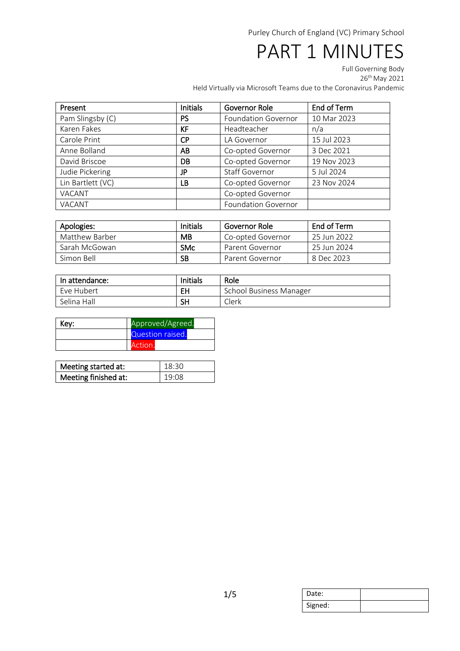## PART 1 MINUTES

Full Governing Body

26th May 2021

Held Virtually via Microsoft Teams due to the Coronavirus Pandemic

| Present           | <b>Initials</b> | Governor Role              | End of Term |
|-------------------|-----------------|----------------------------|-------------|
| Pam Slingsby (C)  | <b>PS</b>       | <b>Foundation Governor</b> | 10 Mar 2023 |
| Karen Fakes       | KF              | Headteacher                | n/a         |
| Carole Print      | <b>CP</b>       | LA Governor                | 15 Jul 2023 |
| Anne Bolland      | AB              | Co-opted Governor          | 3 Dec 2021  |
| David Briscoe     | DB              | Co-opted Governor          | 19 Nov 2023 |
| Judie Pickering   | JP              | <b>Staff Governor</b>      | 5 Jul 2024  |
| Lin Bartlett (VC) | LB              | Co-opted Governor          | 23 Nov 2024 |
| VACANT            |                 | Co-opted Governor          |             |
| VACANT            |                 | <b>Foundation Governor</b> |             |

| Apologies:     | Initials   | Governor Role     | End of Term   |
|----------------|------------|-------------------|---------------|
| Matthew Barber | <b>MB</b>  | Co-opted Governor | - 25 Jun 2022 |
| Sarah McGowan  | <b>SMc</b> | Parent Governor   | 25 Jun 2024   |
| Simon Bell     | <b>SB</b>  | Parent Governor   | 8 Dec 2023    |

| In attendance: | Initials | Role                           |
|----------------|----------|--------------------------------|
| Eve Hubert     | EH       | <b>School Business Manager</b> |
| Selina Hall    | SН       | Clerk                          |

| Key: | Approved/Agreed. |  |
|------|------------------|--|
|      | Question raised. |  |
|      | Action.          |  |

| Meeting started at:  | 18:30 |
|----------------------|-------|
| Meeting finished at: | 19:08 |

| Date:   |  |
|---------|--|
| Signed: |  |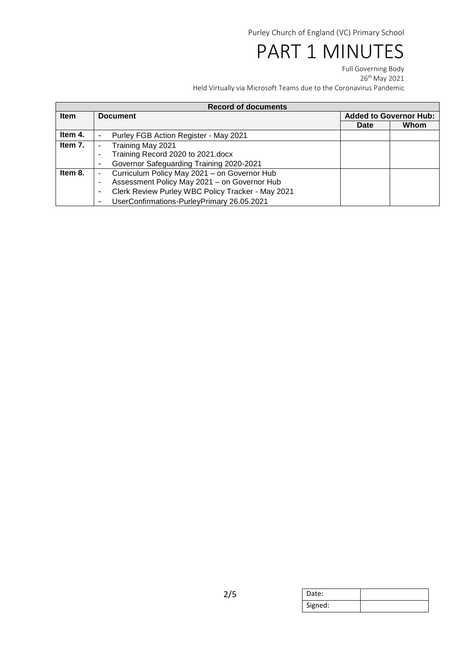## PART 1 MINUTES

Full Governing Body 26th May 2021 Held Virtually via Microsoft Teams due to the Coronavirus Pandemic

| <b>Record of documents</b> |                                                        |                               |      |
|----------------------------|--------------------------------------------------------|-------------------------------|------|
| <b>Item</b>                | <b>Document</b>                                        | <b>Added to Governor Hub:</b> |      |
|                            |                                                        | <b>Date</b>                   | Whom |
| Item 4.                    | Purley FGB Action Register - May 2021                  |                               |      |
| Item 7.                    | Training May 2021                                      |                               |      |
|                            | Training Record 2020 to 2021.docx<br>٠                 |                               |      |
|                            | Governor Safeguarding Training 2020-2021<br>٠          |                               |      |
| Item 8.                    | Curriculum Policy May 2021 - on Governor Hub<br>٠      |                               |      |
|                            | Assessment Policy May 2021 - on Governor Hub<br>٠      |                               |      |
|                            | Clerk Review Purley WBC Policy Tracker - May 2021<br>- |                               |      |
|                            | UserConfirmations-PurleyPrimary 26.05.2021<br>۰        |                               |      |

| Date:   |  |
|---------|--|
| Signed: |  |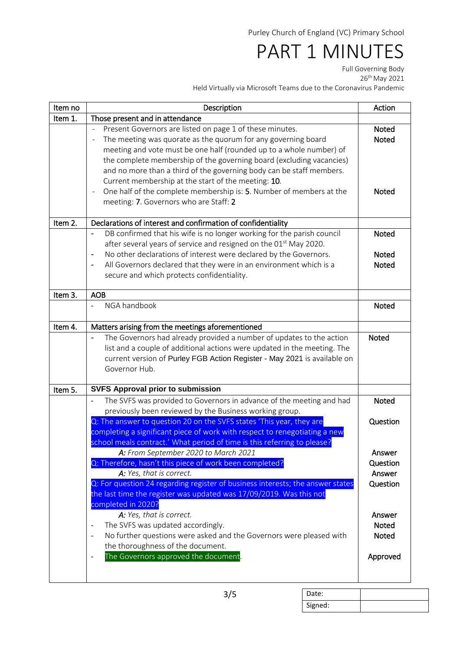## PART 1 MINUTES

Full Governing Body

26th May 2021

Held Virtually via Microsoft Teams due to the Coronavirus Pandemic

| Item no | Description                                                                                                                                                                                                                                                                                                                                                                                                                                                                                                                                                                 | Action                                |
|---------|-----------------------------------------------------------------------------------------------------------------------------------------------------------------------------------------------------------------------------------------------------------------------------------------------------------------------------------------------------------------------------------------------------------------------------------------------------------------------------------------------------------------------------------------------------------------------------|---------------------------------------|
| Item 1. | Those present and in attendance                                                                                                                                                                                                                                                                                                                                                                                                                                                                                                                                             |                                       |
|         | Present Governors are listed on page 1 of these minutes.<br>÷<br>The meeting was quorate as the quorum for any governing board<br>$\overline{a}$<br>meeting and vote must be one half (rounded up to a whole number) of<br>the complete membership of the governing board (excluding vacancies)<br>and no more than a third of the governing body can be staff members.<br>Current membership at the start of the meeting: 10.<br>One half of the complete membership is: 5. Number of members at the<br>$\overline{\phantom{a}}$<br>meeting: 7. Governors who are Staff: 2 | Noted<br><b>Noted</b><br><b>Noted</b> |
| Item 2. | Declarations of interest and confirmation of confidentiality                                                                                                                                                                                                                                                                                                                                                                                                                                                                                                                |                                       |
|         | DB confirmed that his wife is no longer working for the parish council<br>after several years of service and resigned on the 01 <sup>st</sup> May 2020.                                                                                                                                                                                                                                                                                                                                                                                                                     | <b>Noted</b>                          |
|         | No other declarations of interest were declared by the Governors.<br>$\qquad \qquad \blacksquare$<br>All Governors declared that they were in an environment which is a<br>$\overline{\phantom{a}}$<br>secure and which protects confidentiality.                                                                                                                                                                                                                                                                                                                           | Noted<br><b>Noted</b>                 |
| Item 3. | <b>AOB</b>                                                                                                                                                                                                                                                                                                                                                                                                                                                                                                                                                                  |                                       |
|         | NGA handbook<br>$\overline{\phantom{0}}$                                                                                                                                                                                                                                                                                                                                                                                                                                                                                                                                    | Noted                                 |
| Item 4. | Matters arising from the meetings aforementioned                                                                                                                                                                                                                                                                                                                                                                                                                                                                                                                            |                                       |
|         | The Governors had already provided a number of updates to the action<br>list and a couple of additional actions were updated in the meeting. The<br>current version of Purley FGB Action Register - May 2021 is available on<br>Governor Hub.                                                                                                                                                                                                                                                                                                                               | <b>Noted</b>                          |
| Item 5. | <b>SVFS Approval prior to submission</b>                                                                                                                                                                                                                                                                                                                                                                                                                                                                                                                                    |                                       |
|         | The SVFS was provided to Governors in advance of the meeting and had<br>previously been reviewed by the Business working group.                                                                                                                                                                                                                                                                                                                                                                                                                                             | <b>Noted</b>                          |
|         | Q: The answer to question 20 on the SVFS states 'This year, they are<br>completing a significant piece of work with respect to renegotiating a new<br>school meals contract.' What period of time is this referring to please?                                                                                                                                                                                                                                                                                                                                              | Question                              |
|         | A: From September 2020 to March 2021                                                                                                                                                                                                                                                                                                                                                                                                                                                                                                                                        | Answer                                |
|         | Q: Therefore, hasn't this piece of work been completed?                                                                                                                                                                                                                                                                                                                                                                                                                                                                                                                     | Question                              |
|         | A: Yes, that is correct.                                                                                                                                                                                                                                                                                                                                                                                                                                                                                                                                                    | Answer                                |
|         | Q: For question 24 regarding register of business interests; the answer states<br>the last time the register was updated was 17/09/2019. Was this not<br>completed in 2020?                                                                                                                                                                                                                                                                                                                                                                                                 | Question                              |
|         | A: Yes, that is correct.                                                                                                                                                                                                                                                                                                                                                                                                                                                                                                                                                    | Answer                                |
|         | The SVFS was updated accordingly.                                                                                                                                                                                                                                                                                                                                                                                                                                                                                                                                           | <b>Noted</b>                          |
|         | No further questions were asked and the Governors were pleased with<br>٠                                                                                                                                                                                                                                                                                                                                                                                                                                                                                                    | <b>Noted</b>                          |
|         | the thoroughness of the document.<br>The Governors approved the document.<br>٠                                                                                                                                                                                                                                                                                                                                                                                                                                                                                              | Approved                              |
|         |                                                                                                                                                                                                                                                                                                                                                                                                                                                                                                                                                                             |                                       |

Date: Signed: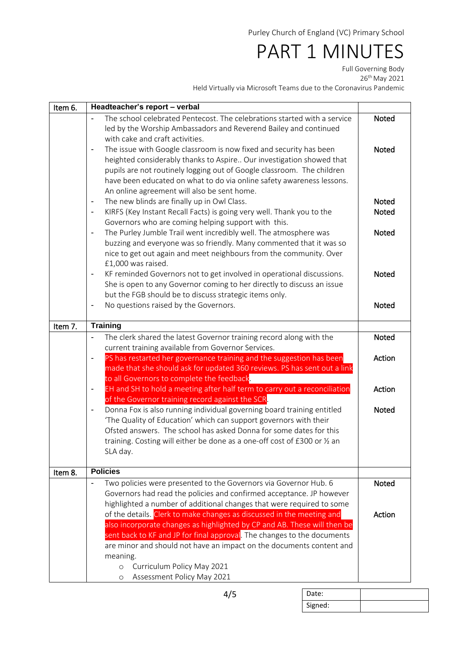## PART 1 MINUTES

Full Governing Body

26th May 2021

Held Virtually via Microsoft Teams due to the Coronavirus Pandemic

| Item 6. | Headteacher's report - verbal                                                                        |              |
|---------|------------------------------------------------------------------------------------------------------|--------------|
|         | The school celebrated Pentecost. The celebrations started with a service                             | Noted        |
|         | led by the Worship Ambassadors and Reverend Bailey and continued                                     |              |
|         | with cake and craft activities.                                                                      |              |
|         | The issue with Google classroom is now fixed and security has been<br>$\overline{\phantom{a}}$       | Noted        |
|         | heighted considerably thanks to Aspire Our investigation showed that                                 |              |
|         | pupils are not routinely logging out of Google classroom. The children                               |              |
|         | have been educated on what to do via online safety awareness lessons.                                |              |
|         | An online agreement will also be sent home.                                                          |              |
|         | The new blinds are finally up in Owl Class.<br>$\overline{\phantom{a}}$                              | Noted        |
|         | KIRFS (Key Instant Recall Facts) is going very well. Thank you to the                                | <b>Noted</b> |
|         | Governors who are coming helping support with this.                                                  |              |
|         | The Purley Jumble Trail went incredibly well. The atmosphere was<br>$\qquad \qquad \blacksquare$     | <b>Noted</b> |
|         | buzzing and everyone was so friendly. Many commented that it was so                                  |              |
|         | nice to get out again and meet neighbours from the community. Over                                   |              |
|         | £1,000 was raised.                                                                                   |              |
|         | KF reminded Governors not to get involved in operational discussions.<br>$\overline{\phantom{a}}$    | Noted        |
|         | She is open to any Governor coming to her directly to discuss an issue                               |              |
|         | but the FGB should be to discuss strategic items only.                                               |              |
|         | No questions raised by the Governors.                                                                | <b>Noted</b> |
|         |                                                                                                      |              |
| Item 7. | <b>Training</b>                                                                                      |              |
|         | The clerk shared the latest Governor training record along with the<br>$\blacksquare$                | <b>Noted</b> |
|         | current training available from Governor Services.                                                   |              |
|         | PS has restarted her governance training and the suggestion has been<br>$\qquad \qquad \blacksquare$ | Action       |
|         | made that she should ask for updated 360 reviews. PS has sent out a link                             |              |
|         | to all Governors to complete the feedback.                                                           |              |
|         | EH and SH to hold a meeting after half term to carry out a reconciliation                            | Action       |
|         | of the Governor training record against the SCR.                                                     |              |
|         | Donna Fox is also running individual governing board training entitled<br>$\overline{\phantom{a}}$   | <b>Noted</b> |
|         | 'The Quality of Education' which can support governors with their                                    |              |
|         | Ofsted answers. The school has asked Donna for some dates for this                                   |              |
|         | training. Costing will either be done as a one-off cost of £300 or 1/2 an                            |              |
|         | SLA day.                                                                                             |              |
|         | <b>Policies</b>                                                                                      |              |
| Item 8. | Two policies were presented to the Governors via Governor Hub. 6<br>$\overline{\phantom{0}}$         | Noted        |
|         | Governors had read the policies and confirmed acceptance. JP however                                 |              |
|         | highlighted a number of additional changes that were required to some                                |              |
|         | of the details. Clerk to make changes as discussed in the meeting and                                | Action       |
|         | also incorporate changes as highlighted by CP and AB. These will then be                             |              |
|         | sent back to KF and JP for final approval. The changes to the documents                              |              |
|         | are minor and should not have an impact on the documents content and                                 |              |
|         | meaning.                                                                                             |              |
|         | Curriculum Policy May 2021<br>$\circ$                                                                |              |
|         | Assessment Policy May 2021<br>$\circ$                                                                |              |
|         |                                                                                                      |              |

Date: Signed: